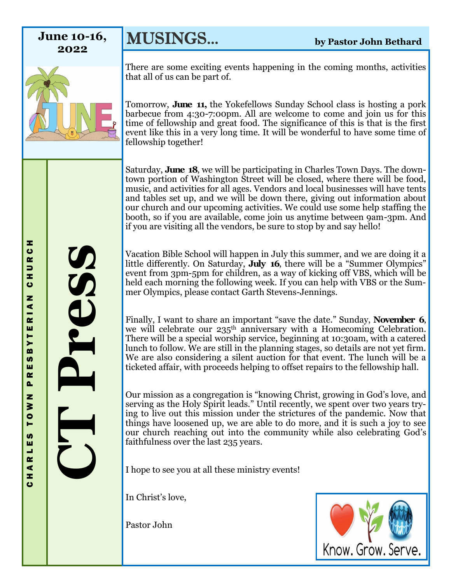**2022**

**CT Press** 

MUSINGS... **by Pastor John Bethard June 10-16,** 



There are some exciting events happening in the coming months, activities that all of us can be part of.

Tomorrow, **June 11,** the Yokefellows Sunday School class is hosting a pork barbecue from 4:30-7:00pm. All are welcome to come and join us for this time of fellowship and great food. The significance of this is that is the first event like this in a very long time. It will be wonderful to have some time of fellowship together!

Saturday, **June 18**, we will be participating in Charles Town Days. The downtown portion of Washington Street will be closed, where there will be food, music, and activities for all ages. Vendors and local businesses will have tents and tables set up, and we will be down there, giving out information about our church and our upcoming activities. We could use some help staffing the booth, so if you are available, come join us anytime between 9am-3pm. And if you are visiting all the vendors, be sure to stop by and say hello!

Vacation Bible School will happen in July this summer, and we are doing it a little differently. On Saturday, **July 16**, there will be a "Summer Olympics" event from 3pm-5pm for children, as a way of kicking off VBS, which will be held each morning the following week. If you can help with VBS or the Summer Olympics, please contact Garth Stevens-Jennings.

Finally, I want to share an important "save the date." Sunday, **November 6**, we will celebrate our 235<sup>th</sup> anniversary with a Homecoming Celebration. There will be a special worship service, beginning at 10:30am, with a catered lunch to follow. We are still in the planning stages, so details are not yet firm. We are also considering a silent auction for that event. The lunch will be a ticketed affair, with proceeds helping to offset repairs to the fellowship hall.

Our mission as a congregation is "knowing Christ, growing in God's love, and serving as the Holy Spirit leads." Until recently, we spent over two years trying to live out this mission under the strictures of the pandemic. Now that things have loosened up, we are able to do more, and it is such a joy to see our church reaching out into the community while also celebrating God's faithfulness over the last 235 years.

I hope to see you at all these ministry events!

In Christ's love,

Pastor John

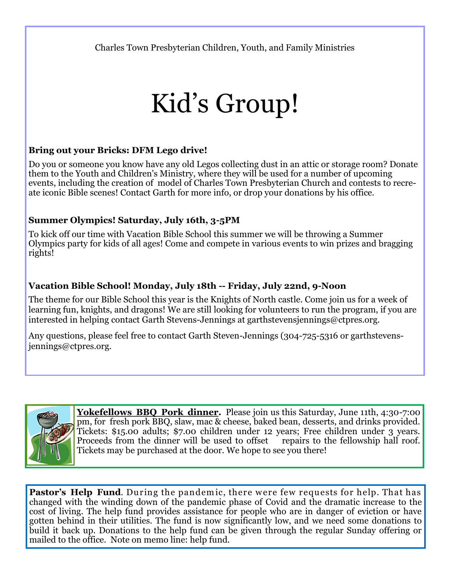Charles Town Presbyterian Children, Youth, and Family Ministries

# Kid's Group!

### **Bring out your Bricks: DFM Lego drive!**

Do you or someone you know have any old Legos collecting dust in an attic or storage room? Donate them to the Youth and Children's Ministry, where they will be used for a number of upcoming events, including the creation of model of Charles Town Presbyterian Church and contests to recreate iconic Bible scenes! Contact Garth for more info, or drop your donations by his office.

## **Summer Olympics! Saturday, July 16th, 3-5PM**

To kick off our time with Vacation Bible School this summer we will be throwing a Summer Olympics party for kids of all ages! Come and compete in various events to win prizes and bragging rights!

## **Vacation Bible School! Monday, July 18th -- Friday, July 22nd, 9-Noon**

The theme for our Bible School this year is the Knights of North castle. Come join us for a week of learning fun, knights, and dragons! We are still looking for volunteers to run the program, if you are interested in helping contact Garth Stevens-Jennings at garthstevensjennings@ctpres.org.

Any questions, please feel free to contact Garth Steven-Jennings (304-725-5316 or garthstevensjennings@ctpres.org.



Yokefellows BBQ Pork dinner. Please join us this Saturday, June 11th, 4:30-7:00 pm, for fresh pork BBQ, slaw, mac & cheese, baked bean, desserts, and drinks provided. Tickets: \$15.00 adults; \$7.00 children under 12 years; Free children under 3 years. Proceeds from the dinner will be used to offset repairs to the fellowship hall roof. Tickets may be purchased at the door. We hope to see you there!

**Pastor's Help Fund.** During the pandemic, there were few requests for help. That has changed with the winding down of the pandemic phase of Covid and the dramatic increase to the cost of living. The help fund provides assistance for people who are in danger of eviction or have gotten behind in their utilities. The fund is now significantly low, and we need some donations to build it back up. Donations to the help fund can be given through the regular Sunday offering or mailed to the office. Note on memo line: help fund.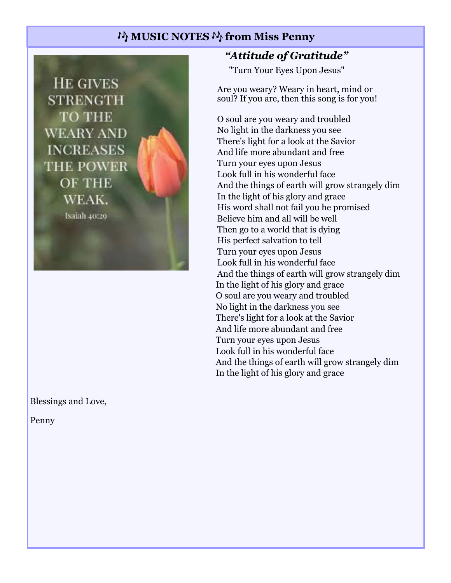# **MUSIC NOTES**  $M$  **from Miss Penny**

**HE GIVES STRENGTH TO THE WEARY AND INCREASES** THE POWER OF THE WEAK. Isaiah 40:29

Blessings and Love,

Penny

## *"Attitude of Gratitude"*

"Turn Your Eyes Upon Jesus"

Are you weary? Weary in heart, mind or soul? If you are, then this song is for you!

O soul are you weary and troubled No light in the darkness you see There's light for a look at the Savior And life more abundant and free Turn your eyes upon Jesus Look full in his wonderful face And the things of earth will grow strangely dim In the light of his glory and grace His word shall not fail you he promised Believe him and all will be well Then go to a world that is dying His perfect salvation to tell Turn your eyes upon Jesus Look full in his wonderful face And the things of earth will grow strangely dim In the light of his glory and grace O soul are you weary and troubled No light in the darkness you see There's light for a look at the Savior And life more abundant and free Turn your eyes upon Jesus Look full in his wonderful face And the things of earth will grow strangely dim In the light of his glory and grace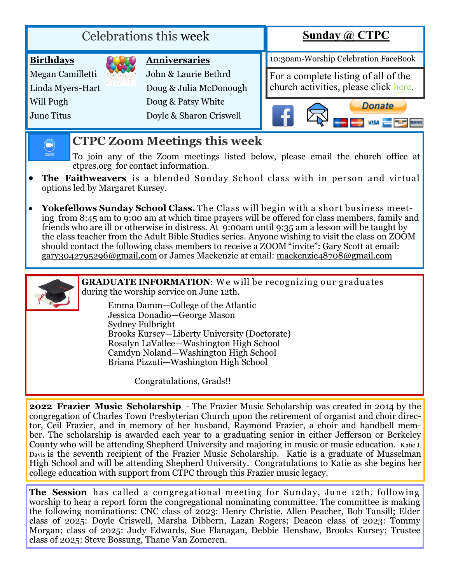| <b>Birthdays</b><br>Megan Camilletti<br>John & Laurie Bethrd | <b>Anniversaries</b>                          | 10:30am-Worship Celebration FaceBook                                       |
|--------------------------------------------------------------|-----------------------------------------------|----------------------------------------------------------------------------|
|                                                              |                                               |                                                                            |
| Linda Myers-Hart                                             | Doug & Julia McDonough                        | For a complete listing of all of the church activities, please click here. |
| Will Pugh<br>June Titus                                      | Doug & Patsy White<br>Doyle & Sharon Criswell | <b>Donate</b>                                                              |

## **CTPC Zoom Meetings this week**

- To join any of the Zoom meetings listed below, please email the church office at ctpres.org for contact information.
- **The Faithweavers** is a blended Sunday School class with in person and virtual options led by Margaret Kursey.
- **Yokefellows Sunday School Class.** The Class will begin with a short business meeting from 8:45 am to 9:00 am at which time prayers will be offered for class members, family and friends who are ill or otherwise in distress. At 9:00am until 9:35 am a lesson will be taught by the class teacher from the Adult Bible Studies series. Anyone wishing to visit the class on ZOOM should contact the following class members to receive a ZOOM "invite": Gary Scott at email: [gary3042795296@gmail.com](mailto:gary3042795296@gmail.com) or James Mackenzie at email: [mackenzie48708@gmail.com](mailto:mackenzie48708@gmail.com)



 $\left( \blacksquare \right)$  $rac{1}{200m}$ 

> **GRADUATE INFORMATION:** We will be recognizing our graduates during the worship service on June 12th.

Emma Damm—College of the Atlantic Jessica Donadio—George Mason Sydney Fulbright Brooks Kursey—Liberty University (Doctorate) Rosalyn LaVallee—Washington High School Camdyn Noland—Washington High School Briana Pizzuti—Washington High School

Congratulations, Grads!!

**2022 Frazier Music Scholarship** - The Frazier Music Scholarship was created in 2014 by the congregation of Charles Town Presbyterian Church upon the retirement of organist and choir director, Ceil Frazier, and in memory of her husband, Raymond Frazier, a choir and handbell member. The scholarship is awarded each year to a graduating senior in either Jefferson or Berkeley County who will be attending Shepherd University and majoring in music or music education. Katie J. Davis is the seventh recipient of the Frazier Music Scholarship. Katie is a graduate of Musselman High School and will be attending Shepherd University. Congratulations to Katie as she begins her college education with support from CTPC through this Frazier music legacy.

**The Session** has called a congregational meeting for Sunday, June 12th, following worship to hear a report form the congregational nominating committee. The committee is making the following nominations: CNC class of 2023: Henry Christie, Allen Peacher, Bob Tansill; Elder class of 2025: Doyle Criswell, Marsha Dibbern, Lazan Rogers; Deacon class of 2023: Tommy Morgan; class of 2025: Judy Edwards, Sue Flanagan, Debbie Henshaw, Brooks Kursey; Trustee class of 2025: Steve Bossung, Thane Van Zomeren.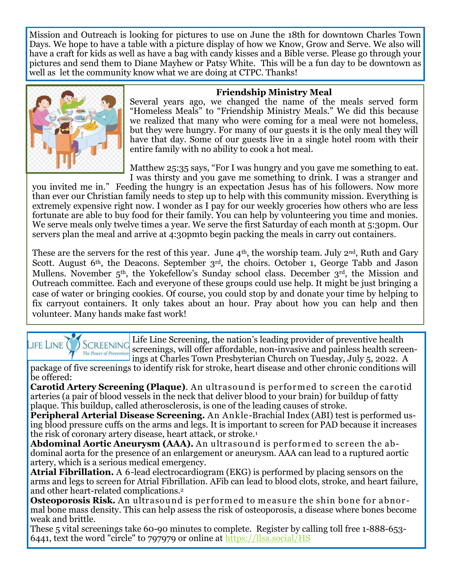Mission and Outreach is looking for pictures to use on June the 18th for downtown Charles Town Days. We hope to have a table with a picture display of how we Know, Grow and Serve. We also will have a craft for kids as well as have a bag with candy kisses and a Bible verse. Please go through your pictures and send them to Diane Mayhew or Patsy White. This will be a fun day to be downtown as well as let the community know what we are doing at CTPC. Thanks!



#### **Friendship Ministry Meal**

Several years ago, we changed the name of the meals served form "Homeless Meals" to "Friendship Ministry Meals." We did this because we realized that many who were coming for a meal were not homeless, but they were hungry. For many of our guests it is the only meal they will have that day. Some of our guests live in a single hotel room with their entire family with no ability to cook a hot meal.

Matthew 25:35 says, "For I was hungry and you gave me something to eat. I was thirsty and you gave me something to drink. I was a stranger and

you invited me in." Feeding the hungry is an expectation Jesus has of his followers. Now more than ever our Christian family needs to step up to help with this community mission. Everything is extremely expensive right now. I wonder as I pay for our weekly groceries how others who are less fortunate are able to buy food for their family. You can help by volunteering you time and monies. We serve meals only twelve times a year. We serve the first Saturday of each month at 5:30pm. Our servers plan the meal and arrive at 4:30pmto begin packing the meals in carry out containers.

These are the servers for the rest of this year. June 4<sup>th</sup>, the worship team. July 2<sup>nd</sup>, Ruth and Gary Scott. August 6<sup>th</sup>, the Deacons. September 3<sup>rd</sup>, the choirs. October 1, George Tabb and Jason Mullens. November 5<sup>th</sup>, the Yokefellow's Sunday school class. December 3<sup>rd</sup>, the Mission and Outreach committee. Each and everyone of these groups could use help. It might be just bringing a case of water or bringing cookies. Of course, you could stop by and donate your time by helping to fix carryout containers. It only takes about an hour. Pray about how you can help and then volunteer. Many hands make fast work!

Life Line Screening, the nation's leading provider of preventive health LIFE LINE  $()$ **SCREENING** screenings, will offer affordable, non-invasive and painless health screen-The Power of Preventio ings at Charles Town Presbyterian Church on Tuesday, July 5, 2022. A

package of five screenings to identify risk for stroke, heart disease and other chronic conditions will be offered:

**Carotid Artery Screening (Plaque)**. An ultrasound is perform ed to screen the carotid arteries (a pair of blood vessels in the neck that deliver blood to your brain) for buildup of fatty plaque. This buildup, called atherosclerosis, is one of the leading causes of stroke.

**Peripheral Arterial Disease Screening.** An Ankle-Brachial Index (ABI) test is performed using blood pressure cuffs on the arms and legs. It is important to screen for PAD because it increases the risk of coronary artery disease, heart attack, or stroke.<sup>1</sup>

Abdominal Aortic Aneurysm (AAA). An ultrasound is performed to screen the abdominal aorta for the presence of an enlargement or aneurysm. AAA can lead to a ruptured aortic artery, which is a serious medical emergency.

**Atrial Fibrillation.** A 6-lead electrocardiogram (EKG) is performed by placing sensors on the arms and legs to screen for Atrial Fibrillation. AFib can lead to blood clots, stroke, and heart failure, and other heart-related complications.<sup>2</sup>

**Osteoporosis Risk.** An ultrasound is performed to measure the shin bone for abnormal bone mass density. This can help assess the risk of osteoporosis, a disease where bones become weak and brittle.

These 5 vital screenings take 60-90 minutes to complete. Register by calling toll free 1-888-653- 6441, text the word "circle" to 797979 or online at [https://llsa.social/HS](https://llsa.social/HSC)